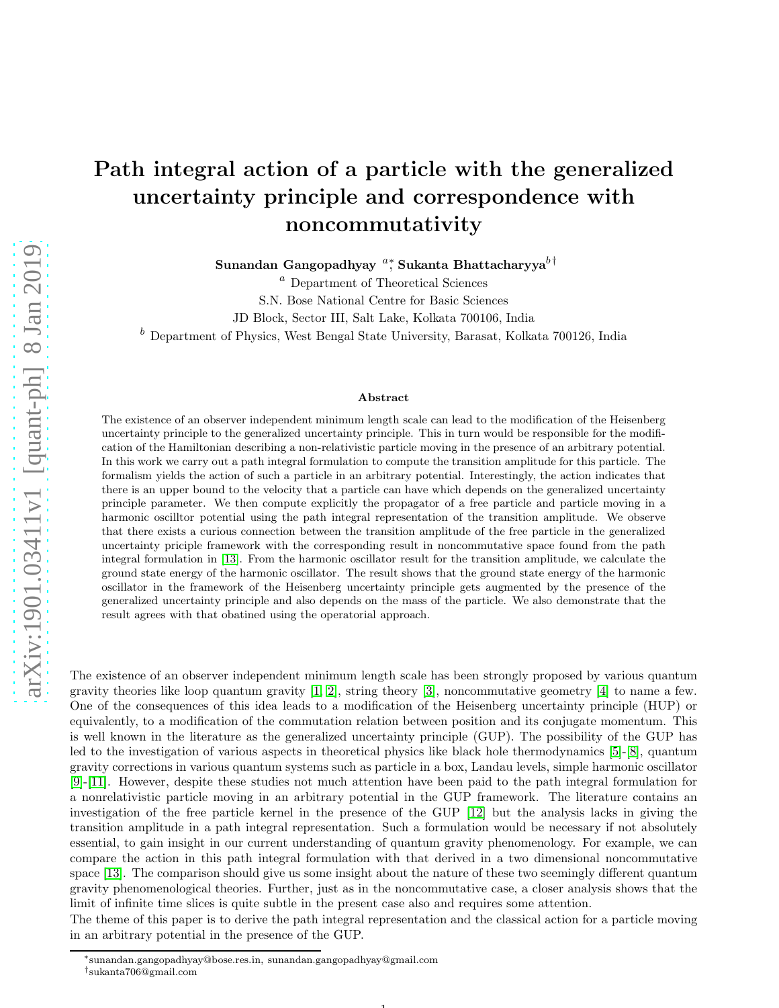## Path integral action of a particle with the generalized uncertainty principle and correspondence with noncommutativity

Sunandan Gangopadhyay  $a^*$ , Sukanta Bhattacharyya $b^\dagger$ 

 $\emph{a}$  Department of Theoretical Sciences

S.N. Bose National Centre for Basic Sciences

JD Block, Sector III, Salt Lake, Kolkata 700106, India

 $<sup>b</sup>$  Department of Physics, West Bengal State University, Barasat, Kolkata 700126, India</sup>

## Abstract

The existence of an observer independent minimum length scale can lead to the modification of the Heisenberg uncertainty principle to the generalized uncertainty principle. This in turn would be responsible for the modification of the Hamiltonian describing a non-relativistic particle moving in the presence of an arbitrary potential. In this work we carry out a path integral formulation to compute the transition amplitude for this particle. The formalism yields the action of such a particle in an arbitrary potential. Interestingly, the action indicates that there is an upper bound to the velocity that a particle can have which depends on the generalized uncertainty principle parameter. We then compute explicitly the propagator of a free particle and particle moving in a harmonic oscilltor potential using the path integral representation of the transition amplitude. We observe that there exists a curious connection between the transition amplitude of the free particle in the generalized uncertainty priciple framework with the corresponding result in noncommutative space found from the path integral formulation in [\[13\]](#page-6-0). From the harmonic oscillator result for the transition amplitude, we calculate the ground state energy of the harmonic oscillator. The result shows that the ground state energy of the harmonic oscillator in the framework of the Heisenberg uncertainty principle gets augmented by the presence of the generalized uncertainty principle and also depends on the mass of the particle. We also demonstrate that the result agrees with that obatined using the operatorial approach.

The existence of an observer independent minimum length scale has been strongly proposed by various quantum gravity theories like loop quantum gravity [\[1,](#page-6-1) [2\]](#page-6-2), string theory [\[3\]](#page-6-3), noncommutative geometry [\[4\]](#page-6-4) to name a few. One of the consequences of this idea leads to a modification of the Heisenberg uncertainty principle (HUP) or equivalently, to a modification of the commutation relation between position and its conjugate momentum. This is well known in the literature as the generalized uncertainty principle (GUP). The possibility of the GUP has led to the investigation of various aspects in theoretical physics like black hole thermodynamics [\[5\]](#page-6-5)-[\[8\]](#page-6-6), quantum gravity corrections in various quantum systems such as particle in a box, Landau levels, simple harmonic oscillator [\[9\]](#page-6-7)-[\[11\]](#page-6-8). However, despite these studies not much attention have been paid to the path integral formulation for a nonrelativistic particle moving in an arbitrary potential in the GUP framework. The literature contains an investigation of the free particle kernel in the presence of the GUP [\[12\]](#page-6-9) but the analysis lacks in giving the transition amplitude in a path integral representation. Such a formulation would be necessary if not absolutely essential, to gain insight in our current understanding of quantum gravity phenomenology. For example, we can compare the action in this path integral formulation with that derived in a two dimensional noncommutative space [\[13\]](#page-6-0). The comparison should give us some insight about the nature of these two seemingly different quantum gravity phenomenological theories. Further, just as in the noncommutative case, a closer analysis shows that the limit of infinite time slices is quite subtle in the present case also and requires some attention.

The theme of this paper is to derive the path integral representation and the classical action for a particle moving in an arbitrary potential in the presence of the GUP.

1

<sup>∗</sup> sunandan.gangopadhyay@bose.res.in, sunandan.gangopadhyay@gmail.com † sukanta706@gmail.com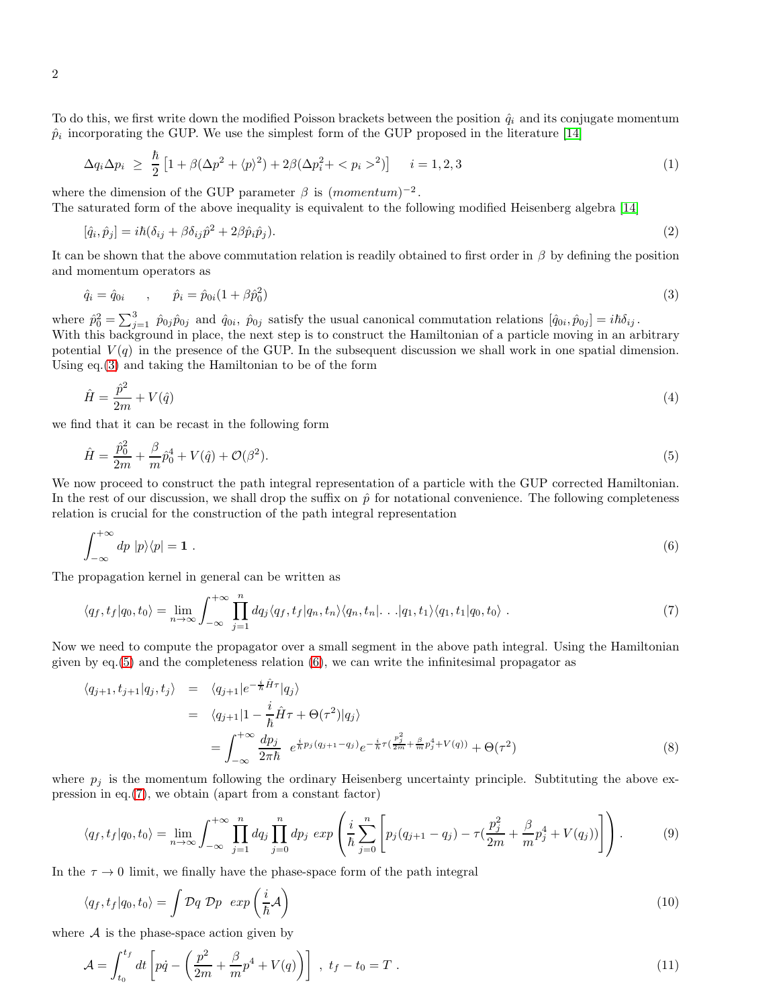To do this, we first write down the modified Poisson brackets between the position  $\hat{q}_i$  and its conjugate momentum  $\hat{p}_i$  incorporating the GUP. We use the simplest form of the GUP proposed in the literature [\[14\]](#page-6-10)

$$
\Delta q_i \Delta p_i \geq \frac{\hbar}{2} \left[ 1 + \beta (\Delta p^2 + \langle p \rangle^2) + 2\beta (\Delta p_i^2 + \langle p_i \rangle^2) \right] \quad i = 1, 2, 3 \tag{1}
$$

where the dimension of the GUP parameter  $\beta$  is  $(momentum)^{-2}$ .

The saturated form of the above inequality is equivalent to the following modified Heisenberg algebra [\[14\]](#page-6-10)

$$
[\hat{q}_i, \hat{p}_j] = i\hbar(\delta_{ij} + \beta \delta_{ij}\hat{p}^2 + 2\beta \hat{p}_i \hat{p}_j). \tag{2}
$$

It can be shown that the above commutation relation is readily obtained to first order in  $\beta$  by defining the position and momentum operators as

<span id="page-1-0"></span>
$$
\hat{q}_i = \hat{q}_{0i} \qquad , \qquad \hat{p}_i = \hat{p}_{0i} (1 + \beta \hat{p}_0^2) \tag{3}
$$

where  $\hat{p}_0^2 = \sum_{j=1}^3 \hat{p}_{0j} \hat{p}_{0j}$  and  $\hat{q}_{0i}$ ,  $\hat{p}_{0j}$  satisfy the usual canonical commutation relations  $[\hat{q}_{0i}, \hat{p}_{0j}] = i\hbar \delta_{ij}$ . With this background in place, the next step is to construct the Hamiltonian of a particle moving in an arbitrary potential  $V(q)$  in the presence of the GUP. In the subsequent discussion we shall work in one spatial dimension. Using eq.[\(3\)](#page-1-0) and taking the Hamiltonian to be of the form

$$
\hat{H} = \frac{\hat{p}^2}{2m} + V(\hat{q})\tag{4}
$$

we find that it can be recast in the following form

<span id="page-1-1"></span>
$$
\hat{H} = \frac{\hat{p}_0^2}{2m} + \frac{\beta}{m}\hat{p}_0^4 + V(\hat{q}) + \mathcal{O}(\beta^2). \tag{5}
$$

We now proceed to construct the path integral representation of a particle with the GUP corrected Hamiltonian. In the rest of our discussion, we shall drop the suffix on  $\hat{p}$  for notational convenience. The following completeness relation is crucial for the construction of the path integral representation

<span id="page-1-2"></span>
$$
\int_{-\infty}^{+\infty} dp \, |p\rangle\langle p| = \mathbf{1} \; . \tag{6}
$$

The propagation kernel in general can be written as

<span id="page-1-3"></span>
$$
\langle q_f, t_f | q_0, t_0 \rangle = \lim_{n \to \infty} \int_{-\infty}^{+\infty} \prod_{j=1}^n dq_j \langle q_f, t_f | q_n, t_n \rangle \langle q_n, t_n | \dots | q_1, t_1 \rangle \langle q_1, t_1 | q_0, t_0 \rangle \tag{7}
$$

Now we need to compute the propagator over a small segment in the above path integral. Using the Hamiltonian given by  $eq.5$  and the completeness relation  $(6)$ , we can write the infinitesimal propagator as

<span id="page-1-4"></span>
$$
\langle q_{j+1}, t_{j+1}|q_j, t_j \rangle = \langle q_{j+1}|e^{-\frac{i}{\hbar}\hat{H}\tau}|q_j \rangle
$$
  
\n
$$
= \langle q_{j+1}|1 - \frac{i}{\hbar}\hat{H}\tau + \Theta(\tau^2)|q_j \rangle
$$
  
\n
$$
= \int_{-\infty}^{+\infty} \frac{dp_j}{2\pi\hbar} e^{\frac{i}{\hbar}p_j(q_{j+1}-q_j)} e^{-\frac{i}{\hbar}\tau(\frac{p_j^2}{2m} + \frac{\beta}{m}p_j^4 + V(q))} + \Theta(\tau^2)
$$
\n(8)

where  $p_i$  is the momentum following the ordinary Heisenberg uncertainty principle. Subtituting the above expression in eq.[\(7\)](#page-1-3), we obtain (apart from a constant factor)

<span id="page-1-5"></span>
$$
\langle q_f, t_f | q_0, t_0 \rangle = \lim_{n \to \infty} \int_{-\infty}^{+\infty} \prod_{j=1}^n dq_j \prod_{j=0}^n dp_j \exp\left(\frac{i}{\hbar} \sum_{j=0}^n \left[ p_j (q_{j+1} - q_j) - \tau \left( \frac{p_j^2}{2m} + \frac{\beta}{m} p_j^4 + V(q_j) \right) \right] \right). \tag{9}
$$

In the  $\tau \to 0$  limit, we finally have the phase-space form of the path integral

$$
\langle q_f, t_f | q_0, t_0 \rangle = \int \mathcal{D}q \; \mathcal{D}p \; exp\left(\frac{i}{\hbar} \mathcal{A}\right) \tag{10}
$$

where  $A$  is the phase-space action given by

$$
\mathcal{A} = \int_{t_0}^{t_f} dt \left[ p\dot{q} - \left( \frac{p^2}{2m} + \frac{\beta}{m} p^4 + V(q) \right) \right] , \ t_f - t_0 = T . \tag{11}
$$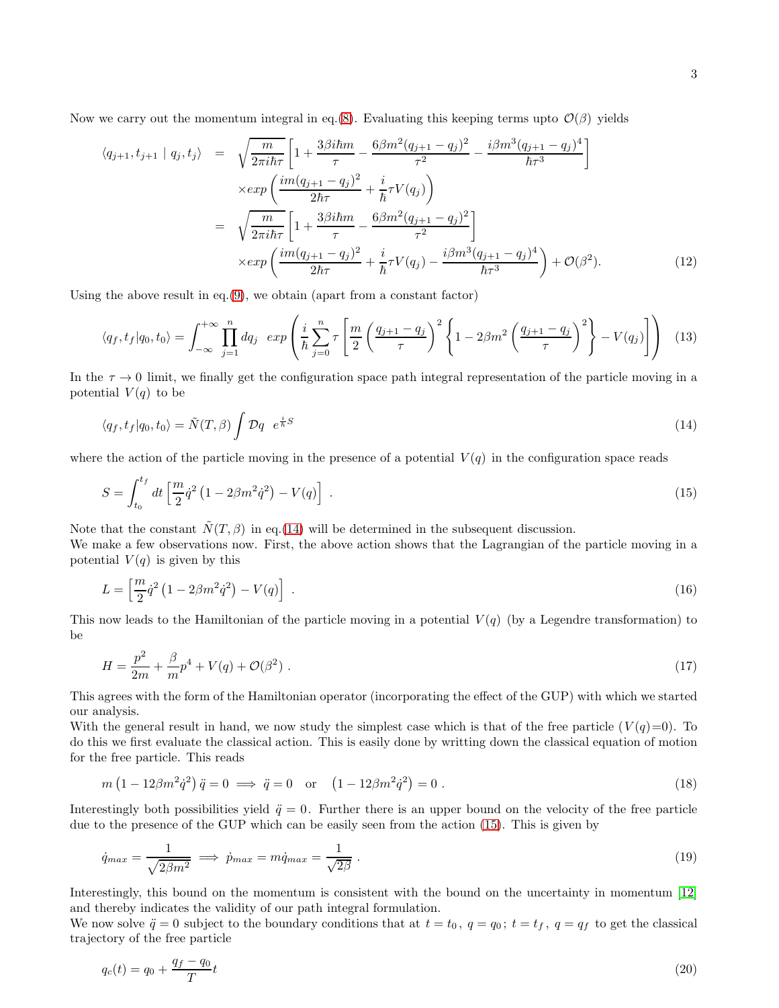$$
\langle q_{j+1}, t_{j+1} | q_j, t_j \rangle = \sqrt{\frac{m}{2\pi i \hbar \tau}} \left[ 1 + \frac{3\beta i \hbar m}{\tau} - \frac{6\beta m^2 (q_{j+1} - q_j)^2}{\tau^2} - \frac{i\beta m^3 (q_{j+1} - q_j)^4}{\hbar \tau^3} \right]
$$
  
\n
$$
\times \exp\left(\frac{im(q_{j+1} - q_j)^2}{2\hbar \tau} + \frac{i}{\hbar} \tau V(q_j)\right)
$$
  
\n
$$
= \sqrt{\frac{m}{2\pi i \hbar \tau}} \left[ 1 + \frac{3\beta i \hbar m}{\tau} - \frac{6\beta m^2 (q_{j+1} - q_j)^2}{\tau^2} \right]
$$
  
\n
$$
\times \exp\left(\frac{im(q_{j+1} - q_j)^2}{2\hbar \tau} + \frac{i}{\hbar} \tau V(q_j) - \frac{i\beta m^3 (q_{j+1} - q_j)^4}{\hbar \tau^3} \right) + \mathcal{O}(\beta^2).
$$
 (12)

Using the above result in eq. $(9)$ , we obtain (apart from a constant factor)

$$
\langle q_f, t_f | q_0, t_0 \rangle = \int_{-\infty}^{+\infty} \prod_{j=1}^n dq_j \exp\left(\frac{i}{\hbar} \sum_{j=0}^n \tau \left[ \frac{m}{2} \left( \frac{q_{j+1} - q_j}{\tau} \right)^2 \left\{ 1 - 2\beta m^2 \left( \frac{q_{j+1} - q_j}{\tau} \right)^2 \right\} - V(q_j) \right] \right) \tag{13}
$$

In the  $\tau \to 0$  limit, we finally get the configuration space path integral representation of the particle moving in a potential  $V(q)$  to be

<span id="page-2-0"></span>
$$
\langle q_f, t_f | q_0, t_0 \rangle = \tilde{N}(T, \beta) \int \mathcal{D}q \ e^{\frac{i}{\hbar}S} \tag{14}
$$

where the action of the particle moving in the presence of a potential  $V(q)$  in the configuration space reads

<span id="page-2-1"></span>
$$
S = \int_{t_0}^{t_f} dt \left[ \frac{m}{2} \dot{q}^2 \left( 1 - 2\beta m^2 \dot{q}^2 \right) - V(q) \right] \ . \tag{15}
$$

Note that the constant  $\dot{N}(T,\beta)$  in eq.[\(14\)](#page-2-0) will be determined in the subsequent discussion.

We make a few observations now. First, the above action shows that the Lagrangian of the particle moving in a potential  $V(q)$  is given by this

$$
L = \left[\frac{m}{2}\dot{q}^2\left(1 - 2\beta m^2 \dot{q}^2\right) - V(q)\right] \tag{16}
$$

This now leads to the Hamiltonian of the particle moving in a potential  $V(q)$  (by a Legendre transformation) to be

$$
H = \frac{p^2}{2m} + \frac{\beta}{m}p^4 + V(q) + \mathcal{O}(\beta^2) \tag{17}
$$

This agrees with the form of the Hamiltonian operator (incorporating the effect of the GUP) with which we started our analysis.

With the general result in hand, we now study the simplest case which is that of the free particle  $(V(q)=0)$ . To do this we first evaluate the classical action. This is easily done by writting down the classical equation of motion for the free particle. This reads

$$
m(1 - 12\beta m^2 \dot{q}^2) \ddot{q} = 0 \implies \ddot{q} = 0 \text{ or } (1 - 12\beta m^2 \dot{q}^2) = 0.
$$
 (18)

Interestingly both possibilities yield  $\ddot{q} = 0$ . Further there is an upper bound on the velocity of the free particle due to the presence of the GUP which can be easily seen from the action [\(15\)](#page-2-1). This is given by

$$
\dot{q}_{max} = \frac{1}{\sqrt{2\beta m^2}} \implies \dot{p}_{max} = m\dot{q}_{max} = \frac{1}{\sqrt{2\beta}}\,. \tag{19}
$$

Interestingly, this bound on the momentum is consistent with the bound on the uncertainty in momentum [\[12\]](#page-6-9) and thereby indicates the validity of our path integral formulation.

We now solve  $\ddot{q} = 0$  subject to the boundary conditions that at  $t = t_0$ ,  $q = q_0$ ;  $t = t_f$ ,  $q = q_f$  to get the classical trajectory of the free particle

$$
q_c(t) = q_0 + \frac{q_f - q_0}{T}t\tag{20}
$$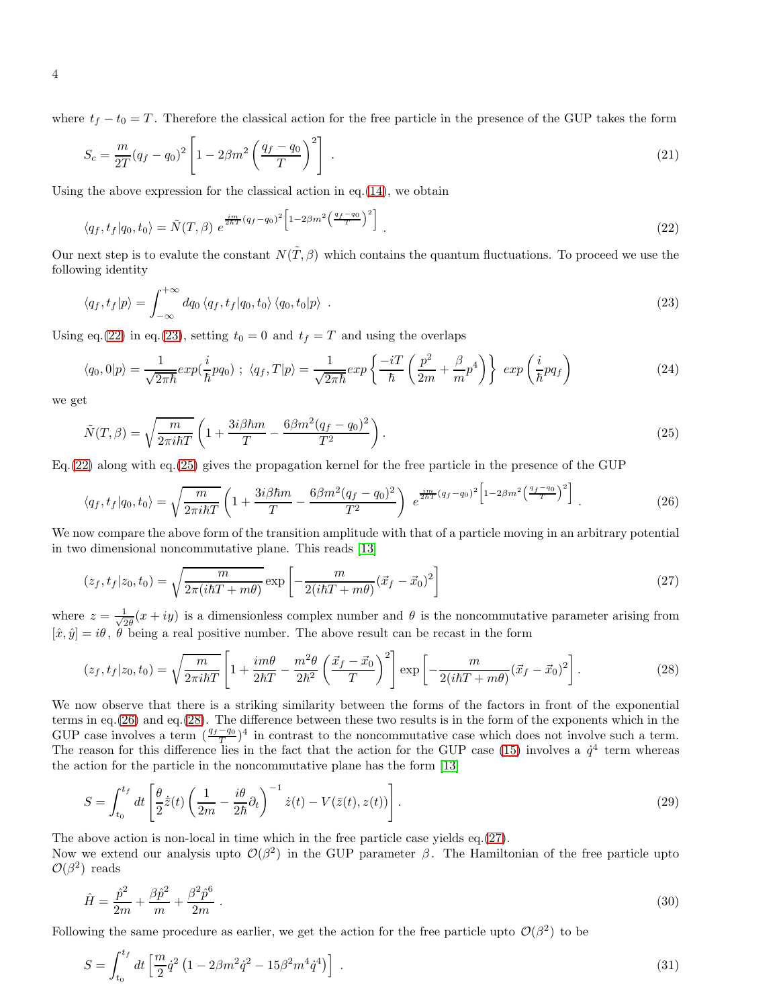where  $t_f - t_0 = T$ . Therefore the classical action for the free particle in the presence of the GUP takes the form

<span id="page-3-6"></span>
$$
S_c = \frac{m}{2T}(q_f - q_0)^2 \left[ 1 - 2\beta m^2 \left( \frac{q_f - q_0}{T} \right)^2 \right] \tag{21}
$$

Using the above expression for the classical action in eq.  $(14)$ , we obtain

<span id="page-3-0"></span>
$$
\langle q_f, t_f | q_0, t_0 \rangle = \tilde{N}(T, \beta) e^{\frac{i m}{2 \hbar T} (q_f - q_0)^2 \left[ 1 - 2\beta m^2 \left( \frac{q_f - q_0}{T} \right)^2 \right]}.
$$
\n(22)

Our next step is to evalute the constant  $N(\tilde{T},\beta)$  which contains the quantum fluctuations. To proceed we use the following identity

<span id="page-3-1"></span>
$$
\langle q_f, t_f | p \rangle = \int_{-\infty}^{+\infty} dq_0 \langle q_f, t_f | q_0, t_0 \rangle \langle q_0, t_0 | p \rangle \tag{23}
$$

Using eq.[\(22\)](#page-3-0) in eq.[\(23\)](#page-3-1), setting  $t_0 = 0$  and  $t_f = T$  and using the overlaps

$$
\langle q_0, 0 | p \rangle = \frac{1}{\sqrt{2\pi\hbar}} exp(\frac{i}{\hbar}pq_0) ; \ \langle q_f, T | p \rangle = \frac{1}{\sqrt{2\pi\hbar}} exp\left\{ \frac{-iT}{\hbar} \left( \frac{p^2}{2m} + \frac{\beta}{m} p^4 \right) \right\} \ exp\left(\frac{i}{\hbar}pq_f\right)
$$
(24)

we get

<span id="page-3-2"></span>
$$
\tilde{N}(T,\beta) = \sqrt{\frac{m}{2\pi i\hbar T}} \left( 1 + \frac{3i\beta\hbar m}{T} - \frac{6\beta m^2 (q_f - q_0)^2}{T^2} \right). \tag{25}
$$

Eq.[\(22\)](#page-3-0) along with eq.[\(25\)](#page-3-2) gives the propagation kernel for the free particle in the presence of the GUP

<span id="page-3-3"></span>
$$
\langle q_f, t_f | q_0, t_0 \rangle = \sqrt{\frac{m}{2\pi i\hbar T}} \left( 1 + \frac{3i\beta\hbar m}{T} - \frac{6\beta m^2 (q_f - q_0)^2}{T^2} \right) e^{\frac{i m}{2\hbar T} (q_f - q_0)^2 \left[ 1 - 2\beta m^2 \left( \frac{q_f - q_0}{T} \right)^2 \right]} \ . \tag{26}
$$

We now compare the above form of the transition amplitude with that of a particle moving in an arbitrary potential in two dimensional noncommutative plane. This reads [\[13\]](#page-6-0)

<span id="page-3-5"></span>
$$
(z_f, t_f | z_0, t_0) = \sqrt{\frac{m}{2\pi(i\hbar T + m\theta)}} \exp\left[-\frac{m}{2(i\hbar T + m\theta)}(\vec{x}_f - \vec{x}_0)^2\right]
$$
(27)

where  $z = \frac{1}{\sqrt{3}}$  $\frac{1}{2\theta}(x+iy)$  is a dimensionless complex number and  $\theta$  is the noncommutative parameter arising from  $[\hat{x}, \hat{y}] = i\theta$ ,  $\hat{\theta}$  being a real positive number. The above result can be recast in the form

<span id="page-3-4"></span>
$$
(z_f, t_f | z_0, t_0) = \sqrt{\frac{m}{2\pi i\hbar T}} \left[ 1 + \frac{im\theta}{2\hbar T} - \frac{m^2\theta}{2\hbar^2} \left( \frac{\vec{x}_f - \vec{x}_0}{T} \right)^2 \right] \exp\left[ -\frac{m}{2(i\hbar T + m\theta)} (\vec{x}_f - \vec{x}_0)^2 \right].
$$
 (28)

We now observe that there is a striking similarity between the forms of the factors in front of the exponential terms in eq.[\(26\)](#page-3-3) and eq.[\(28\)](#page-3-4). The difference between these two results is in the form of the exponents which in the GUP case involves a term  $(\frac{q_f-q_0}{T})^4$  in contrast to the noncommutative case which does not involve such a term. The reason for this difference lies in the fact that the action for the GUP case [\(15\)](#page-2-1) involves a  $\dot{q}^4$  term whereas the action for the particle in the noncommutative plane has the form [\[13\]](#page-6-0)

$$
S = \int_{t_0}^{t_f} dt \left[ \frac{\theta}{2} \dot{\bar{z}}(t) \left( \frac{1}{2m} - \frac{i\theta}{2\hbar} \partial_t \right)^{-1} \dot{z}(t) - V(\bar{z}(t), z(t)) \right]. \tag{29}
$$

The above action is non-local in time which in the free particle case yields eq.[\(27\)](#page-3-5).

Now we extend our analysis upto  $\mathcal{O}(\beta^2)$  in the GUP parameter  $\beta$ . The Hamiltonian of the free particle upto  $\mathcal{O}(\beta^2)$  reads

$$
\hat{H} = \frac{\hat{p}^2}{2m} + \frac{\beta \hat{p}^2}{m} + \frac{\beta^2 \hat{p}^6}{2m} \tag{30}
$$

Following the same procedure as earlier, we get the action for the free particle upto  $\mathcal{O}(\beta^2)$  to be

$$
S = \int_{t_0}^{t_f} dt \left[ \frac{m}{2} \dot{q}^2 \left( 1 - 2\beta m^2 \dot{q}^2 - 15\beta^2 m^4 \dot{q}^4 \right) \right] \,. \tag{31}
$$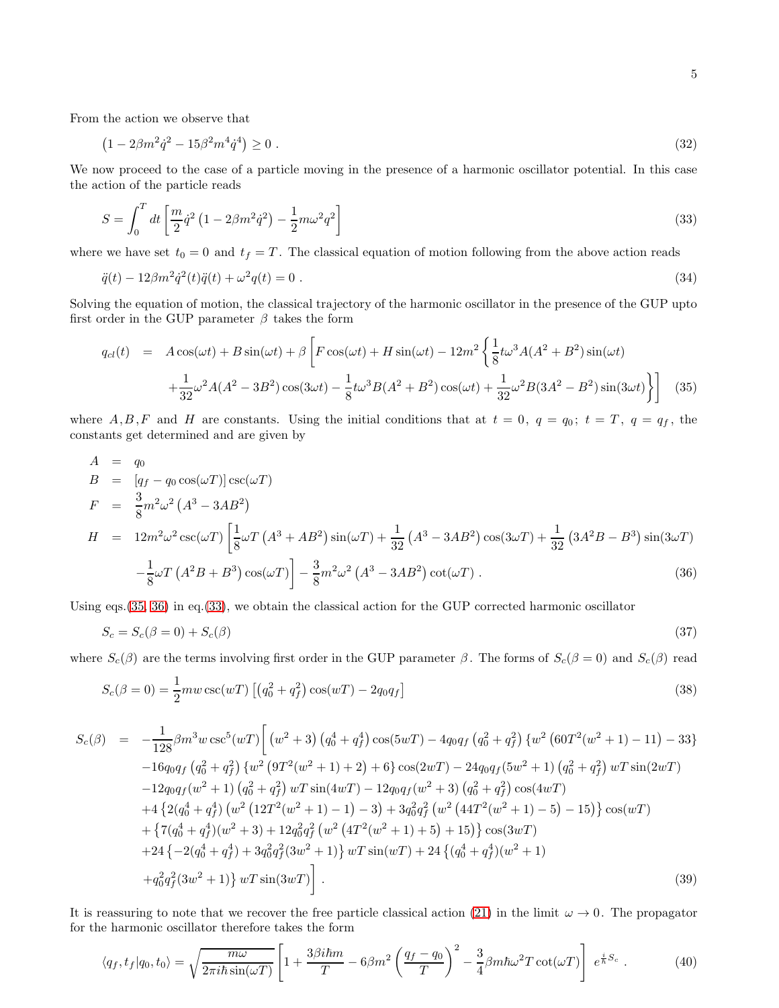From the action we observe that

$$
(1 - 2\beta m^2 \dot{q}^2 - 15\beta^2 m^4 \dot{q}^4) \ge 0 \tag{32}
$$

We now proceed to the case of a particle moving in the presence of a harmonic oscillator potential. In this case the action of the particle reads

<span id="page-4-2"></span>
$$
S = \int_0^T dt \left[ \frac{m}{2} \dot{q}^2 \left( 1 - 2\beta m^2 \dot{q}^2 \right) - \frac{1}{2} m \omega^2 q^2 \right] \tag{33}
$$

where we have set  $t_0 = 0$  and  $t_f = T$ . The classical equation of motion following from the above action reads

$$
\ddot{q}(t) - 12\beta m^2 \dot{q}^2(t)\ddot{q}(t) + \omega^2 q(t) = 0.
$$
\n(34)

Solving the equation of motion, the classical trajectory of the harmonic oscillator in the presence of the GUP upto first order in the GUP parameter  $\beta$  takes the form

<span id="page-4-0"></span>
$$
q_{cl}(t) = A\cos(\omega t) + B\sin(\omega t) + \beta \left[ F\cos(\omega t) + H\sin(\omega t) - 12m^2 \left\{ \frac{1}{8} t\omega^3 A(A^2 + B^2)\sin(\omega t) + \frac{1}{32}\omega^2 A(A^2 - 3B^2)\cos(3\omega t) - \frac{1}{8} t\omega^3 B(A^2 + B^2)\cos(\omega t) + \frac{1}{32}\omega^2 B(3A^2 - B^2)\sin(3\omega t) \right\} \right]
$$
(35)

where  $A, B, F$  and H are constants. Using the initial conditions that at  $t = 0$ ,  $q = q_0$ ;  $t = T$ ,  $q = q_f$ , the constants get determined and are given by

<span id="page-4-1"></span>
$$
A = q_0
$$
  
\n
$$
B = [q_f - q_0 \cos(\omega T)] \csc(\omega T)
$$
  
\n
$$
F = \frac{3}{8} m^2 \omega^2 (A^3 - 3AB^2)
$$
  
\n
$$
H = 12m^2 \omega^2 \csc(\omega T) \left[ \frac{1}{8} \omega T (A^3 + AB^2) \sin(\omega T) + \frac{1}{32} (A^3 - 3AB^2) \cos(3\omega T) + \frac{1}{32} (3A^2 B - B^3) \sin(3\omega T) - \frac{1}{8} \omega T (A^2 B + B^3) \cos(\omega T) \right] - \frac{3}{8} m^2 \omega^2 (A^3 - 3AB^2) \cot(\omega T) .
$$
\n(36)

Using eqs.[\(35,](#page-4-0) [36\)](#page-4-1) in eq.[\(33\)](#page-4-2), we obtain the classical action for the GUP corrected harmonic oscillator

$$
S_c = S_c(\beta = 0) + S_c(\beta) \tag{37}
$$

where  $S_c(\beta)$  are the terms involving first order in the GUP parameter  $\beta$ . The forms of  $S_c(\beta = 0)$  and  $S_c(\beta)$  read

$$
S_c(\beta = 0) = \frac{1}{2} m w \csc(wT) \left[ \left( q_0^2 + q_f^2 \right) \cos(wT) - 2q_0 q_f \right]
$$
\n(38)

$$
S_c(\beta) = -\frac{1}{128}\beta m^3 w \csc^5(wT) \left[ (w^2 + 3) (q_0^4 + q_f^4) \cos(5wT) - 4q_0q_f (q_0^2 + q_f^2) \{w^2 (60T^2(w^2 + 1) - 11) - 33\} \right. \n-16q_0q_f (q_0^2 + q_f^2) \{w^2 (9T^2(w^2 + 1) + 2) + 6\} \cos(2wT) - 24q_0q_f(5w^2 + 1) (q_0^2 + q_f^2) wT \sin(2wT) \n-12q_0q_f(w^2 + 1) (q_0^2 + q_f^2) wT \sin(4wT) - 12q_0q_f(w^2 + 3) (q_0^2 + q_f^2) \cos(4wT) \n+4 \{2(q_0^4 + q_f^4) (w^2 (12T^2(w^2 + 1) - 1) - 3) + 3q_0^2q_f^2 (w^2 (44T^2(w^2 + 1) - 5) - 15)\} \cos(wT) \n+ \{7(q_0^4 + q_f^4)(w^2 + 3) + 12q_0^2q_f^2 (w^2 (4T^2(w^2 + 1) + 5) + 15)\} \cos(3wT) \n+24 \{-2(q_0^4 + q_f^4) + 3q_0^2q_f^2(3w^2 + 1)\} wT \sin(wT) + 24 \{(q_0^4 + q_f^4)(w^2 + 1) \n+ q_0^2q_f^2(3w^2 + 1)\} wT \sin(3wT) \right].
$$
\n(39)

It is reassuring to note that we recover the free particle classical action [\(21\)](#page-3-6) in the limit  $\omega \to 0$ . The propagator for the harmonic oscillator therefore takes the form

$$
\langle q_f, t_f | q_0, t_0 \rangle = \sqrt{\frac{m\omega}{2\pi i\hbar \sin(\omega T)}} \left[ 1 + \frac{3\beta i\hbar m}{T} - 6\beta m^2 \left( \frac{q_f - q_0}{T} \right)^2 - \frac{3}{4} \beta m \hbar \omega^2 T \cot(\omega T) \right] e^{\frac{i}{\hbar} S_c} \,. \tag{40}
$$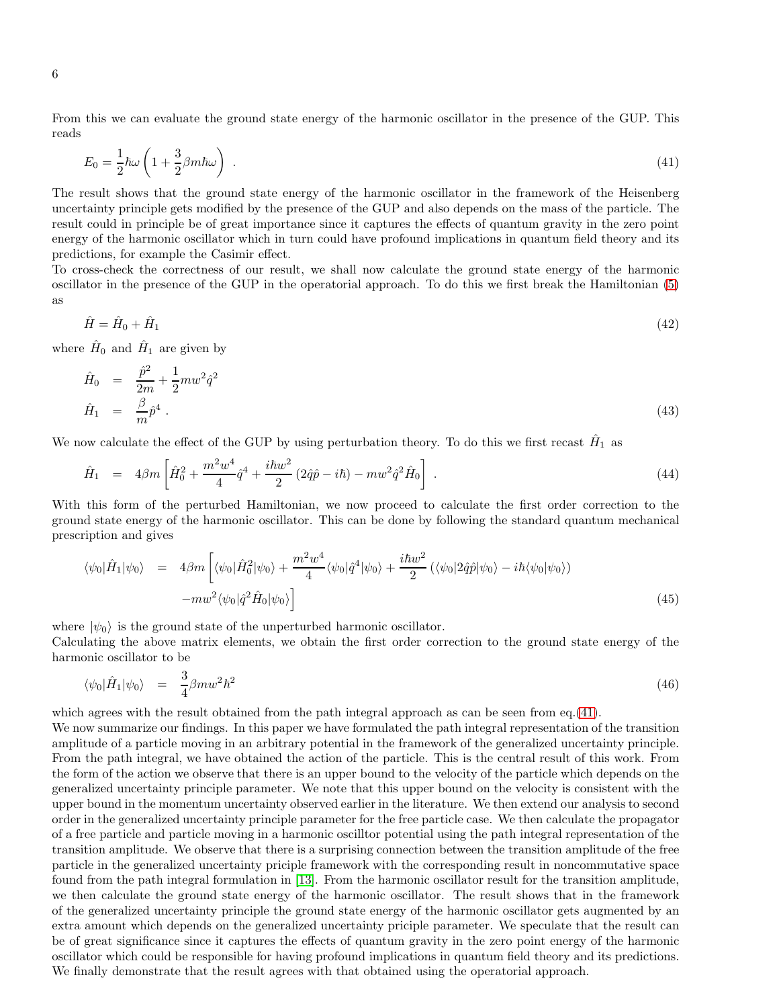From this we can evaluate the ground state energy of the harmonic oscillator in the presence of the GUP. This reads

<span id="page-5-0"></span>
$$
E_0 = \frac{1}{2}\hbar\omega\left(1 + \frac{3}{2}\beta m\hbar\omega\right) \tag{41}
$$

The result shows that the ground state energy of the harmonic oscillator in the framework of the Heisenberg uncertainty principle gets modified by the presence of the GUP and also depends on the mass of the particle. The result could in principle be of great importance since it captures the effects of quantum gravity in the zero point energy of the harmonic oscillator which in turn could have profound implications in quantum field theory and its predictions, for example the Casimir effect.

To cross-check the correctness of our result, we shall now calculate the ground state energy of the harmonic oscillator in the presence of the GUP in the operatorial approach. To do this we first break the Hamiltonian [\(5\)](#page-1-1) as

$$
\hat{H} = \hat{H}_0 + \hat{H}_1 \tag{42}
$$

where  $\hat{H}_0$  and  $\hat{H}_1$  are given by  $\overline{a}$ 

$$
\hat{H}_0 = \frac{\hat{p}^2}{2m} + \frac{1}{2} m w^2 \hat{q}^2 \n\hat{H}_1 = \frac{\beta}{m} \hat{p}^4.
$$
\n(43)

We now calculate the effect of the GUP by using perturbation theory. To do this we first recast  $\hat{H}_1$  as

$$
\hat{H}_1 = 4\beta m \left[ \hat{H}_0^2 + \frac{m^2 w^4}{4} \hat{q}^4 + \frac{i\hbar w^2}{2} (2\hat{q}\hat{p} - i\hbar) - m w^2 \hat{q}^2 \hat{H}_0 \right] . \tag{44}
$$

With this form of the perturbed Hamiltonian, we now proceed to calculate the first order correction to the ground state energy of the harmonic oscillator. This can be done by following the standard quantum mechanical prescription and gives

$$
\langle \psi_0 | \hat{H}_1 | \psi_0 \rangle = 4\beta m \left[ \langle \psi_0 | \hat{H}_0^2 | \psi_0 \rangle + \frac{m^2 w^4}{4} \langle \psi_0 | \hat{q}^4 | \psi_0 \rangle + \frac{i\hbar w^2}{2} \left( \langle \psi_0 | 2\hat{q}\hat{p} | \psi_0 \rangle - i\hbar \langle \psi_0 | \psi_0 \rangle \right) \right]
$$

$$
-m w^2 \langle \psi_0 | \hat{q}^2 \hat{H}_0 | \psi_0 \rangle \right]
$$
(45)

where  $|\psi_0\rangle$  is the ground state of the unperturbed harmonic oscillator.

Calculating the above matrix elements, we obtain the first order correction to the ground state energy of the harmonic oscillator to be

$$
\langle \psi_0 | \hat{H}_1 | \psi_0 \rangle = \frac{3}{4} \beta m w^2 \hbar^2 \tag{46}
$$

which agrees with the result obtained from the path integral approach as can be seen from eq.[\(41\)](#page-5-0).

We now summarize our findings. In this paper we have formulated the path integral representation of the transition amplitude of a particle moving in an arbitrary potential in the framework of the generalized uncertainty principle. From the path integral, we have obtained the action of the particle. This is the central result of this work. From the form of the action we observe that there is an upper bound to the velocity of the particle which depends on the generalized uncertainty principle parameter. We note that this upper bound on the velocity is consistent with the upper bound in the momentum uncertainty observed earlier in the literature. We then extend our analysis to second order in the generalized uncertainty principle parameter for the free particle case. We then calculate the propagator of a free particle and particle moving in a harmonic oscilltor potential using the path integral representation of the transition amplitude. We observe that there is a surprising connection between the transition amplitude of the free particle in the generalized uncertainty priciple framework with the corresponding result in noncommutative space found from the path integral formulation in [\[13\]](#page-6-0). From the harmonic oscillator result for the transition amplitude, we then calculate the ground state energy of the harmonic oscillator. The result shows that in the framework of the generalized uncertainty principle the ground state energy of the harmonic oscillator gets augmented by an extra amount which depends on the generalized uncertainty priciple parameter. We speculate that the result can be of great significance since it captures the effects of quantum gravity in the zero point energy of the harmonic oscillator which could be responsible for having profound implications in quantum field theory and its predictions. We finally demonstrate that the result agrees with that obtained using the operatorial approach.